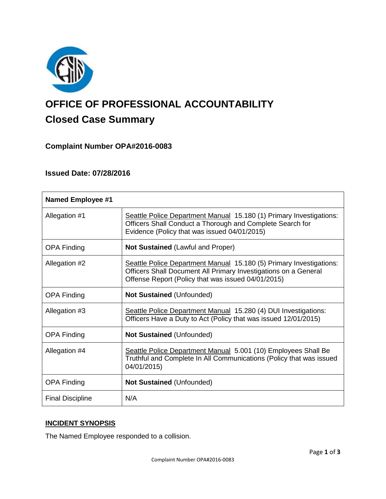

# **OFFICE OF PROFESSIONAL ACCOUNTABILITY Closed Case Summary**

## **Complaint Number OPA#2016-0083**

## **Issued Date: 07/28/2016**

| <b>Named Employee #1</b> |                                                                                                                                                                                              |
|--------------------------|----------------------------------------------------------------------------------------------------------------------------------------------------------------------------------------------|
| Allegation #1            | Seattle Police Department Manual 15.180 (1) Primary Investigations:<br>Officers Shall Conduct a Thorough and Complete Search for<br>Evidence (Policy that was issued 04/01/2015)             |
| <b>OPA Finding</b>       | <b>Not Sustained (Lawful and Proper)</b>                                                                                                                                                     |
| Allegation #2            | Seattle Police Department Manual 15.180 (5) Primary Investigations:<br>Officers Shall Document All Primary Investigations on a General<br>Offense Report (Policy that was issued 04/01/2015) |
| <b>OPA Finding</b>       | <b>Not Sustained (Unfounded)</b>                                                                                                                                                             |
| Allegation #3            | Seattle Police Department Manual 15.280 (4) DUI Investigations:<br>Officers Have a Duty to Act (Policy that was issued 12/01/2015)                                                           |
| <b>OPA Finding</b>       | <b>Not Sustained (Unfounded)</b>                                                                                                                                                             |
| Allegation #4            | Seattle Police Department Manual 5.001 (10) Employees Shall Be<br>Truthful and Complete In All Communications (Policy that was issued<br>04/01/2015)                                         |
| <b>OPA Finding</b>       | <b>Not Sustained (Unfounded)</b>                                                                                                                                                             |
| <b>Final Discipline</b>  | N/A                                                                                                                                                                                          |

## **INCIDENT SYNOPSIS**

The Named Employee responded to a collision.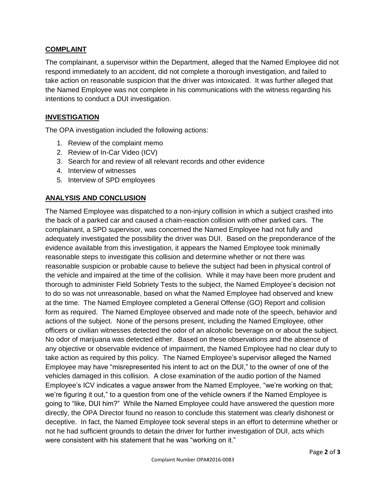## **COMPLAINT**

The complainant, a supervisor within the Department, alleged that the Named Employee did not respond immediately to an accident, did not complete a thorough investigation, and failed to take action on reasonable suspicion that the driver was intoxicated. It was further alleged that the Named Employee was not complete in his communications with the witness regarding his intentions to conduct a DUI investigation.

## **INVESTIGATION**

The OPA investigation included the following actions:

- 1. Review of the complaint memo
- 2. Review of In-Car Video (ICV)
- 3. Search for and review of all relevant records and other evidence
- 4. Interview of witnesses
- 5. Interview of SPD employees

### **ANALYSIS AND CONCLUSION**

The Named Employee was dispatched to a non-injury collision in which a subject crashed into the back of a parked car and caused a chain-reaction collision with other parked cars. The complainant, a SPD supervisor, was concerned the Named Employee had not fully and adequately investigated the possibility the driver was DUI. Based on the preponderance of the evidence available from this investigation, it appears the Named Employee took minimally reasonable steps to investigate this collision and determine whether or not there was reasonable suspicion or probable cause to believe the subject had been in physical control of the vehicle and impaired at the time of the collision. While it may have been more prudent and thorough to administer Field Sobriety Tests to the subject, the Named Employee's decision not to do so was not unreasonable, based on what the Named Employee had observed and knew at the time. The Named Employee completed a General Offense (GO) Report and collision form as required. The Named Employee observed and made note of the speech, behavior and actions of the subject. None of the persons present, including the Named Employee, other officers or civilian witnesses detected the odor of an alcoholic beverage on or about the subject. No odor of marijuana was detected either. Based on these observations and the absence of any objective or observable evidence of impairment, the Named Employee had no clear duty to take action as required by this policy. The Named Employee's supervisor alleged the Named Employee may have "misrepresented his intent to act on the DUI," to the owner of one of the vehicles damaged in this collision. A close examination of the audio portion of the Named Employee's ICV indicates a vague answer from the Named Employee, "we're working on that; we're figuring it out," to a question from one of the vehicle owners if the Named Employee is going to "like, DUI him?" While the Named Employee could have answered the question more directly, the OPA Director found no reason to conclude this statement was clearly dishonest or deceptive. In fact, the Named Employee took several steps in an effort to determine whether or not he had sufficient grounds to detain the driver for further investigation of DUI, acts which were consistent with his statement that he was "working on it."